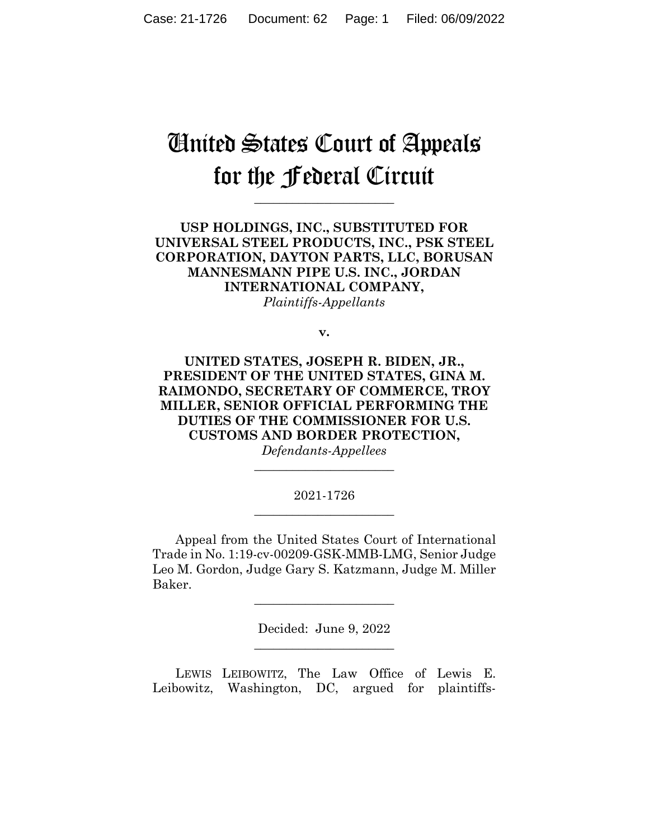# United States Court of Appeals for the Federal Circuit

**\_\_\_\_\_\_\_\_\_\_\_\_\_\_\_\_\_\_\_\_\_\_** 

**USP HOLDINGS, INC., SUBSTITUTED FOR UNIVERSAL STEEL PRODUCTS, INC., PSK STEEL CORPORATION, DAYTON PARTS, LLC, BORUSAN MANNESMANN PIPE U.S. INC., JORDAN INTERNATIONAL COMPANY,** *Plaintiffs-Appellants*

**v.**

## **UNITED STATES, JOSEPH R. BIDEN, JR., PRESIDENT OF THE UNITED STATES, GINA M. RAIMONDO, SECRETARY OF COMMERCE, TROY MILLER, SENIOR OFFICIAL PERFORMING THE DUTIES OF THE COMMISSIONER FOR U.S. CUSTOMS AND BORDER PROTECTION,**

*Defendants-Appellees* **\_\_\_\_\_\_\_\_\_\_\_\_\_\_\_\_\_\_\_\_\_\_** 

## 2021-1726 **\_\_\_\_\_\_\_\_\_\_\_\_\_\_\_\_\_\_\_\_\_\_**

Appeal from the United States Court of International Trade in No. 1:19-cv-00209-GSK-MMB-LMG, Senior Judge Leo M. Gordon, Judge Gary S. Katzmann, Judge M. Miller Baker.

> Decided: June 9, 2022 \_\_\_\_\_\_\_\_\_\_\_\_\_\_\_\_\_\_\_\_\_\_

> \_\_\_\_\_\_\_\_\_\_\_\_\_\_\_\_\_\_\_\_\_\_

LEWIS LEIBOWITZ, The Law Office of Lewis E. Leibowitz, Washington, DC, argued for plaintiffs-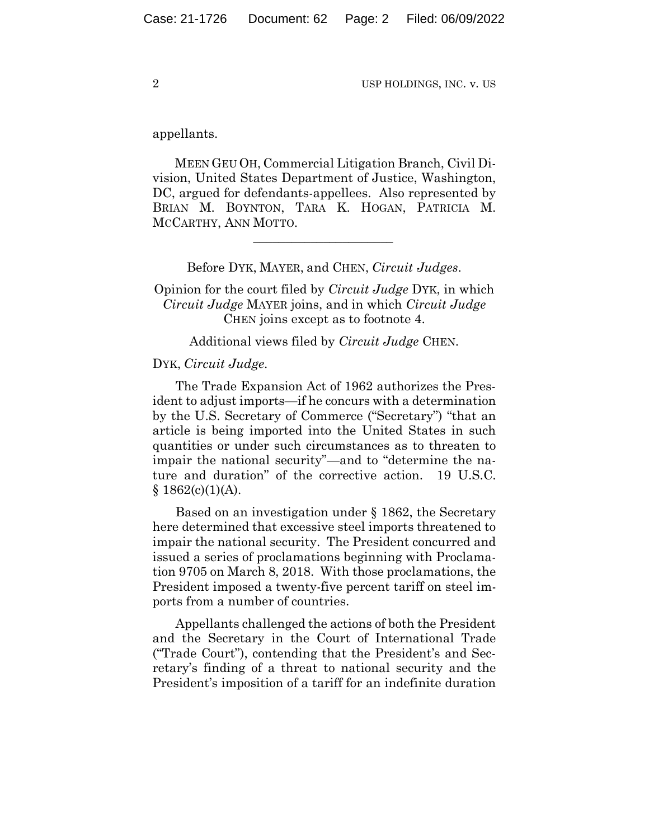appellants.

 MEEN GEU OH, Commercial Litigation Branch, Civil Division, United States Department of Justice, Washington, DC, argued for defendants-appellees. Also represented by BRIAN M. BOYNTON, TARA K. HOGAN, PATRICIA M. MCCARTHY, ANN MOTTO.

Before DYK, MAYER, and CHEN, *Circuit Judges*.

 $\mathcal{L}_\text{max}$  and  $\mathcal{L}_\text{max}$  and  $\mathcal{L}_\text{max}$  and  $\mathcal{L}_\text{max}$ 

Opinion for the court filed by *Circuit Judge* DYK, in which *Circuit Judge* MAYER joins, and in which *Circuit Judge* CHEN joins except as to footnote 4.

Additional views filed by *Circuit Judge* CHEN.

#### DYK, *Circuit Judge*.

The Trade Expansion Act of 1962 authorizes the President to adjust imports—if he concurs with a determination by the U.S. Secretary of Commerce ("Secretary") "that an article is being imported into the United States in such quantities or under such circumstances as to threaten to impair the national security"—and to "determine the nature and duration" of the corrective action. 19 U.S.C.  $§ 1862(c)(1)(A).$ 

Based on an investigation under § 1862, the Secretary here determined that excessive steel imports threatened to impair the national security. The President concurred and issued a series of proclamations beginning with Proclamation 9705 on March 8, 2018. With those proclamations, the President imposed a twenty-five percent tariff on steel imports from a number of countries.

Appellants challenged the actions of both the President and the Secretary in the Court of International Trade ("Trade Court"), contending that the President's and Secretary's finding of a threat to national security and the President's imposition of a tariff for an indefinite duration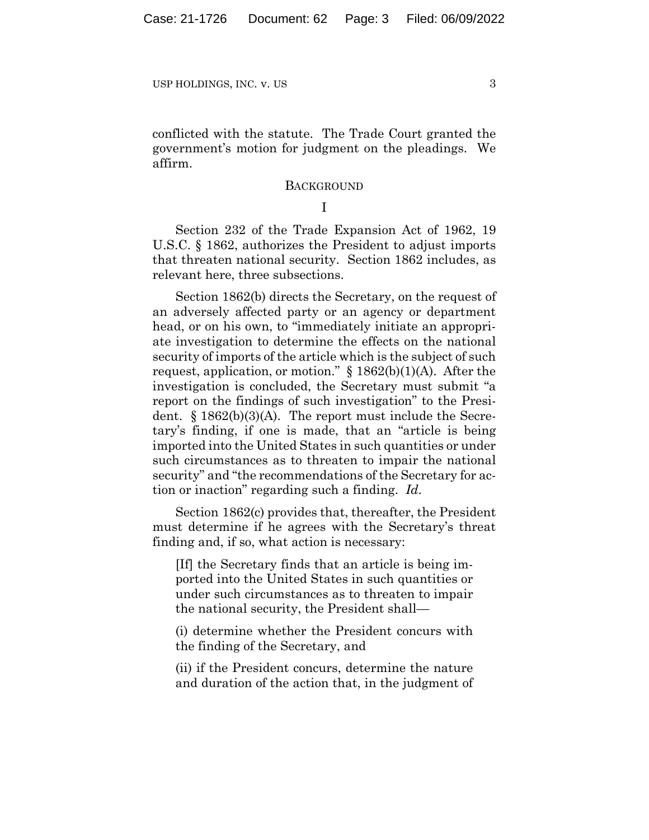conflicted with the statute. The Trade Court granted the government's motion for judgment on the pleadings. We affirm.

#### **BACKGROUND**

I

Section 232 of the Trade Expansion Act of 1962, 19 U.S.C. § 1862, authorizes the President to adjust imports that threaten national security. Section 1862 includes, as relevant here, three subsections.

Section 1862(b) directs the Secretary, on the request of an adversely affected party or an agency or department head, or on his own, to "immediately initiate an appropriate investigation to determine the effects on the national security of imports of the article which is the subject of such request, application, or motion."  $\S 1862(b)(1)(A)$ . After the investigation is concluded, the Secretary must submit "a report on the findings of such investigation" to the President.  $\S 1862(b)(3)(A)$ . The report must include the Secretary's finding, if one is made, that an "article is being imported into the United States in such quantities or under such circumstances as to threaten to impair the national security" and "the recommendations of the Secretary for action or inaction" regarding such a finding. *Id*.

Section 1862(c) provides that, thereafter, the President must determine if he agrees with the Secretary's threat finding and, if so, what action is necessary:

[If] the Secretary finds that an article is being imported into the United States in such quantities or under such circumstances as to threaten to impair the national security, the President shall—

(i) determine whether the President concurs with the finding of the Secretary, and

(ii) if the President concurs, determine the nature and duration of the action that, in the judgment of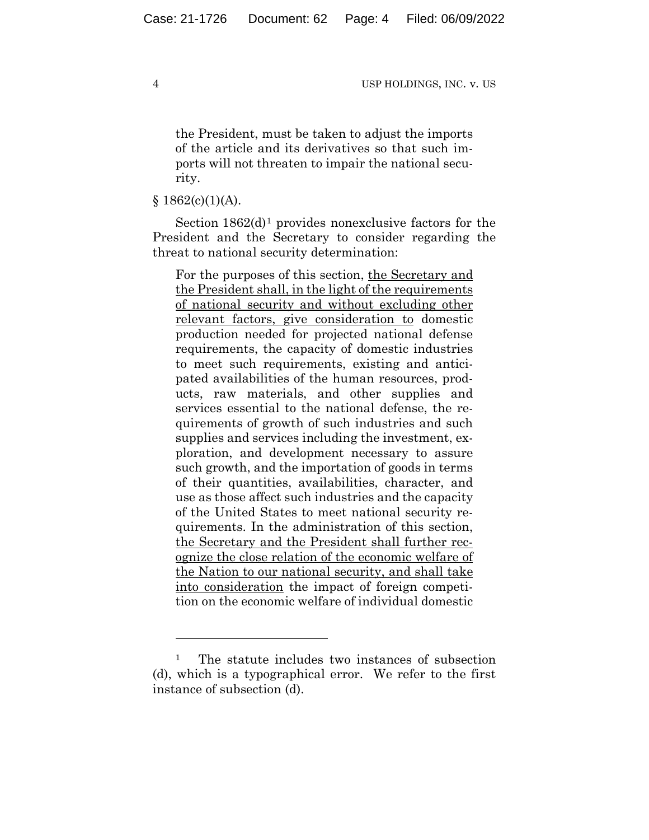the President, must be taken to adjust the imports of the article and its derivatives so that such imports will not threaten to impair the national security.

 $$1862(c)(1)(A).$ 

Section  $1862(d)^1$  provides nonexclusive factors for the President and the Secretary to consider regarding the threat to national security determination:

For the purposes of this section, the Secretary and the President shall, in the light of the requirements of national security and without excluding other relevant factors, give consideration to domestic production needed for projected national defense requirements, the capacity of domestic industries to meet such requirements, existing and anticipated availabilities of the human resources, products, raw materials, and other supplies and services essential to the national defense, the requirements of growth of such industries and such supplies and services including the investment, exploration, and development necessary to assure such growth, and the importation of goods in terms of their quantities, availabilities, character, and use as those affect such industries and the capacity of the United States to meet national security requirements. In the administration of this section, the Secretary and the President shall further recognize the close relation of the economic welfare of the Nation to our national security, and shall take into consideration the impact of foreign competition on the economic welfare of individual domestic

<sup>&</sup>lt;sup>1</sup> The statute includes two instances of subsection (d), which is a typographical error. We refer to the first instance of subsection (d).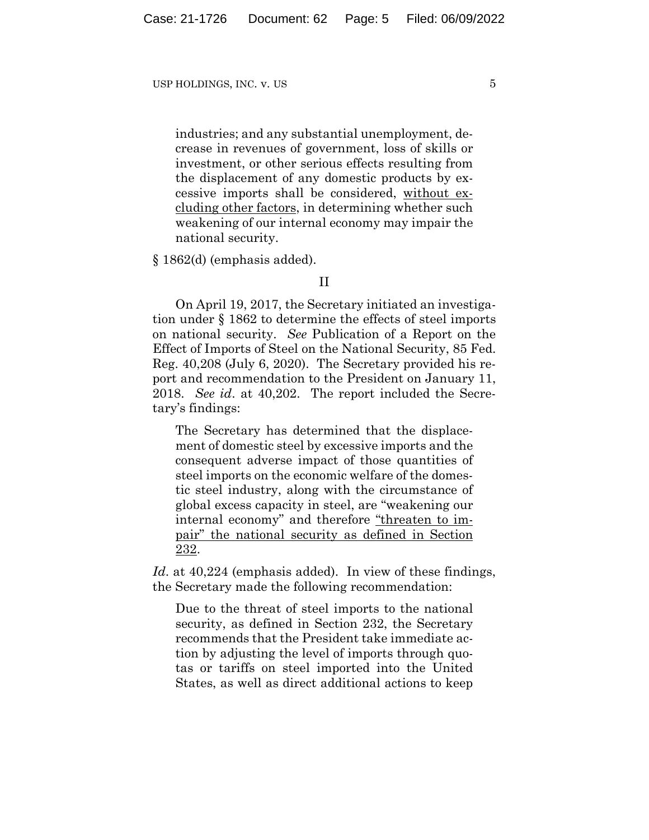$\overline{5}$  USP HOLDINGS, INC. v. US 5

industries; and any substantial unemployment, decrease in revenues of government, loss of skills or investment, or other serious effects resulting from the displacement of any domestic products by excessive imports shall be considered, without excluding other factors, in determining whether such weakening of our internal economy may impair the national security.

§ 1862(d) (emphasis added).

#### II

On April 19, 2017, the Secretary initiated an investigation under § 1862 to determine the effects of steel imports on national security. *See* Publication of a Report on the Effect of Imports of Steel on the National Security, 85 Fed. Reg. 40,208 (July 6, 2020). The Secretary provided his report and recommendation to the President on January 11, 2018. *See id*. at 40,202. The report included the Secretary's findings:

The Secretary has determined that the displacement of domestic steel by excessive imports and the consequent adverse impact of those quantities of steel imports on the economic welfare of the domestic steel industry, along with the circumstance of global excess capacity in steel, are "weakening our internal economy" and therefore "threaten to impair" the national security as defined in Section 232.

*Id*. at 40,224 (emphasis added). In view of these findings, the Secretary made the following recommendation:

Due to the threat of steel imports to the national security, as defined in Section 232, the Secretary recommends that the President take immediate action by adjusting the level of imports through quotas or tariffs on steel imported into the United States, as well as direct additional actions to keep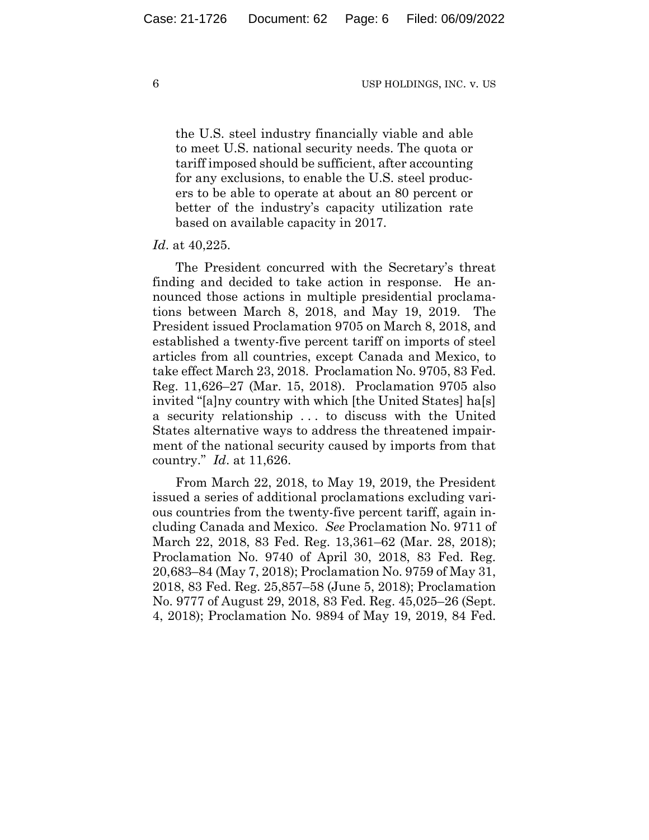the U.S. steel industry financially viable and able to meet U.S. national security needs. The quota or tariff imposed should be sufficient, after accounting for any exclusions, to enable the U.S. steel producers to be able to operate at about an 80 percent or better of the industry's capacity utilization rate based on available capacity in 2017.

#### *Id*. at 40,225.

The President concurred with the Secretary's threat finding and decided to take action in response. He announced those actions in multiple presidential proclamations between March 8, 2018, and May 19, 2019. The President issued Proclamation 9705 on March 8, 2018, and established a twenty-five percent tariff on imports of steel articles from all countries, except Canada and Mexico, to take effect March 23, 2018. Proclamation No. 9705, 83 Fed. Reg. 11,626–27 (Mar. 15, 2018). Proclamation 9705 also invited "[a]ny country with which [the United States] ha[s] a security relationship . . . to discuss with the United States alternative ways to address the threatened impairment of the national security caused by imports from that country." *Id*. at 11,626.

From March 22, 2018, to May 19, 2019, the President issued a series of additional proclamations excluding various countries from the twenty-five percent tariff, again including Canada and Mexico. *See* Proclamation No. 9711 of March 22, 2018, 83 Fed. Reg. 13,361–62 (Mar. 28, 2018); Proclamation No. 9740 of April 30, 2018, 83 Fed. Reg. 20,683–84 (May 7, 2018); Proclamation No. 9759 of May 31, 2018, 83 Fed. Reg. 25,857–58 (June 5, 2018); Proclamation No. 9777 of August 29, 2018, 83 Fed. Reg. 45,025–26 (Sept. 4, 2018); Proclamation No. 9894 of May 19, 2019, 84 Fed.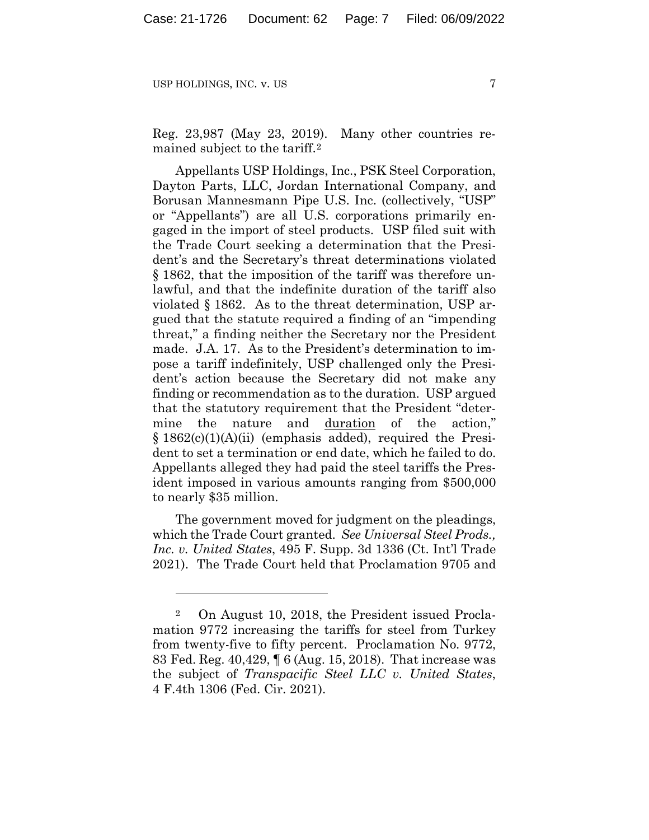Reg. 23,987 (May 23, 2019). Many other countries remained subject to the tariff.2

Appellants USP Holdings, Inc., PSK Steel Corporation, Dayton Parts, LLC, Jordan International Company, and Borusan Mannesmann Pipe U.S. Inc. (collectively, "USP" or "Appellants") are all U.S. corporations primarily engaged in the import of steel products. USP filed suit with the Trade Court seeking a determination that the President's and the Secretary's threat determinations violated § 1862, that the imposition of the tariff was therefore unlawful, and that the indefinite duration of the tariff also violated § 1862. As to the threat determination, USP argued that the statute required a finding of an "impending threat," a finding neither the Secretary nor the President made. J.A. 17. As to the President's determination to impose a tariff indefinitely, USP challenged only the President's action because the Secretary did not make any finding or recommendation as to the duration. USP argued that the statutory requirement that the President "determine the nature and duration of the action,"  $§$  1862(c)(1)(A)(ii) (emphasis added), required the President to set a termination or end date, which he failed to do. Appellants alleged they had paid the steel tariffs the President imposed in various amounts ranging from \$500,000 to nearly \$35 million.

The government moved for judgment on the pleadings, which the Trade Court granted. *See Universal Steel Prods., Inc. v. United States*, 495 F. Supp. 3d 1336 (Ct. Int'l Trade 2021). The Trade Court held that Proclamation 9705 and

<sup>2</sup> On August 10, 2018, the President issued Proclamation 9772 increasing the tariffs for steel from Turkey from twenty-five to fifty percent. Proclamation No. 9772, 83 Fed. Reg. 40,429, ¶ 6 (Aug. 15, 2018). That increase was the subject of *Transpacific Steel LLC v. United States*, 4 F.4th 1306 (Fed. Cir. 2021).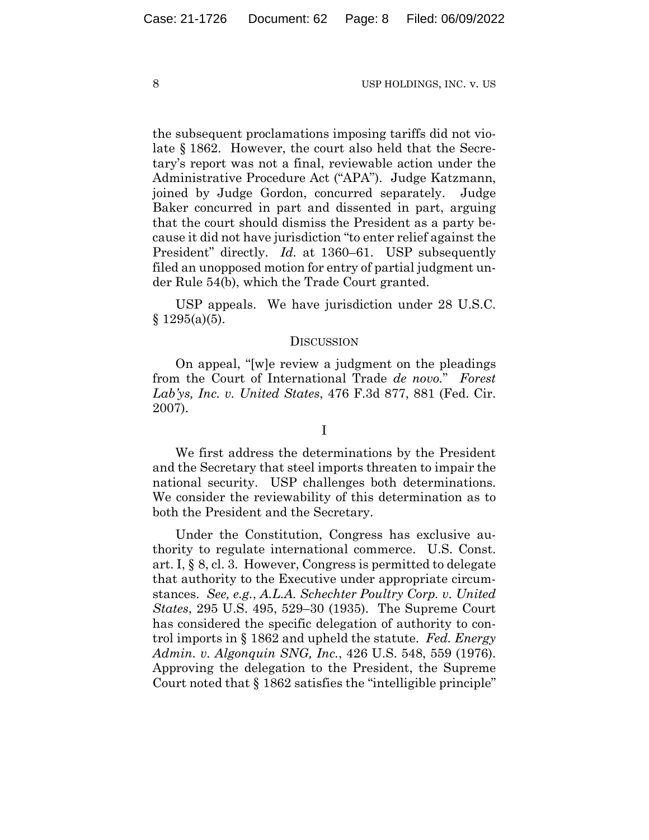the subsequent proclamations imposing tariffs did not violate § 1862. However, the court also held that the Secretary's report was not a final, reviewable action under the Administrative Procedure Act ("APA"). Judge Katzmann, joined by Judge Gordon, concurred separately. Judge Baker concurred in part and dissented in part, arguing that the court should dismiss the President as a party because it did not have jurisdiction "to enter relief against the President" directly. *Id.* at 1360–61. USP subsequently filed an unopposed motion for entry of partial judgment under Rule 54(b), which the Trade Court granted.

USP appeals. We have jurisdiction under 28 U.S.C.  $§ 1295(a)(5).$ 

#### **DISCUSSION**

On appeal, "[w]e review a judgment on the pleadings from the Court of International Trade *de novo.*" *Forest Lab'ys, Inc. v. United States*, 476 F.3d 877, 881 (Fed. Cir. 2007).

I

We first address the determinations by the President and the Secretary that steel imports threaten to impair the national security. USP challenges both determinations. We consider the reviewability of this determination as to both the President and the Secretary.

Under the Constitution, Congress has exclusive authority to regulate international commerce. U.S. Const. art. I, § 8, cl. 3. However, Congress is permitted to delegate that authority to the Executive under appropriate circumstances. *See, e.g.*, *A.L.A. Schechter Poultry Corp. v. United States*, 295 U.S. 495, 529–30 (1935). The Supreme Court has considered the specific delegation of authority to control imports in § 1862 and upheld the statute. *Fed. Energy Admin. v. Algonquin SNG, Inc.*, 426 U.S. 548, 559 (1976). Approving the delegation to the President, the Supreme Court noted that § 1862 satisfies the "intelligible principle"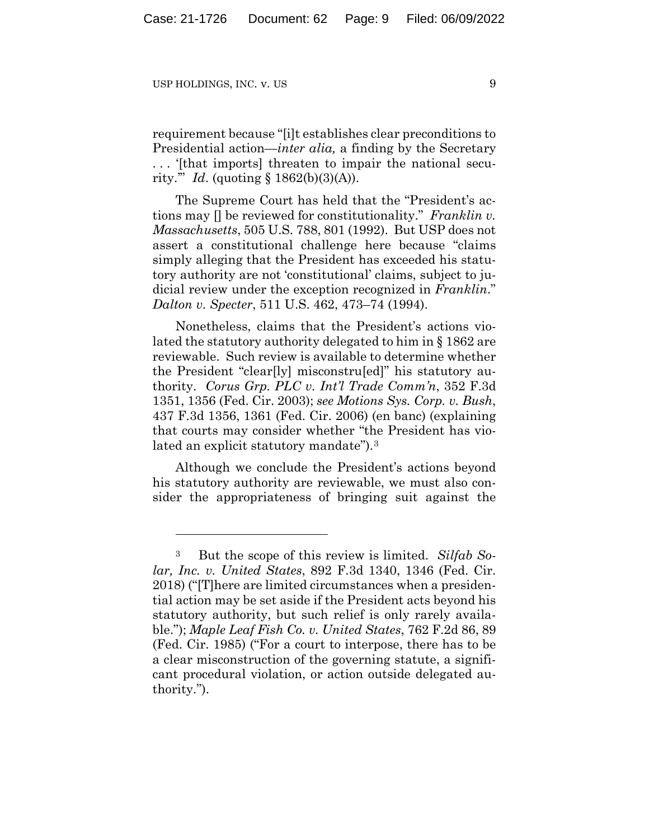requirement because "[i]t establishes clear preconditions to Presidential action—*inter alia,* a finding by the Secretary . . . '[that imports] threaten to impair the national secu-

rity.'" *Id*. (quoting § 1862(b)(3)(A)).

The Supreme Court has held that the "President's actions may [] be reviewed for constitutionality." *Franklin v. Massachusetts*, 505 U.S. 788, 801 (1992). But USP does not assert a constitutional challenge here because "claims simply alleging that the President has exceeded his statutory authority are not 'constitutional' claims, subject to judicial review under the exception recognized in *Franklin*." *Dalton v. Specter*, 511 U.S. 462, 473–74 (1994).

Nonetheless, claims that the President's actions violated the statutory authority delegated to him in § 1862 are reviewable. Such review is available to determine whether the President "clear[ly] misconstru[ed]" his statutory authority. *Corus Grp. PLC v. Int'l Trade Comm'n*, 352 F.3d 1351, 1356 (Fed. Cir. 2003); *see Motions Sys. Corp. v. Bush*, 437 F.3d 1356, 1361 (Fed. Cir. 2006) (en banc) (explaining that courts may consider whether "the President has violated an explicit statutory mandate").<sup>3</sup>

Although we conclude the President's actions beyond his statutory authority are reviewable, we must also consider the appropriateness of bringing suit against the

<sup>3</sup> But the scope of this review is limited. *Silfab Solar, Inc. v. United States*, 892 F.3d 1340, 1346 (Fed. Cir. 2018) ("[T]here are limited circumstances when a presidential action may be set aside if the President acts beyond his statutory authority, but such relief is only rarely available."); *Maple Leaf Fish Co. v. United States*, 762 F.2d 86, 89 (Fed. Cir. 1985) ("For a court to interpose, there has to be a clear misconstruction of the governing statute, a significant procedural violation, or action outside delegated authority.").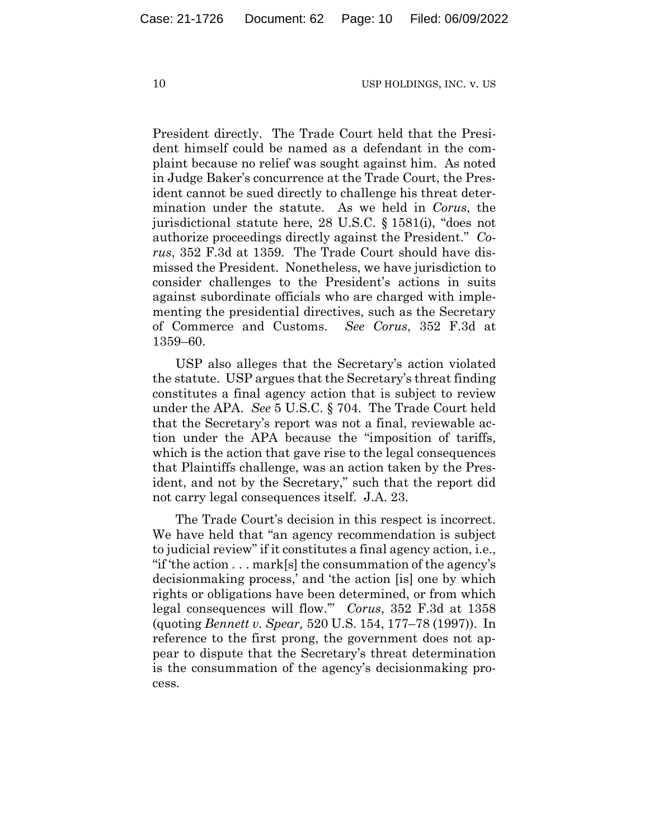President directly. The Trade Court held that the President himself could be named as a defendant in the complaint because no relief was sought against him. As noted in Judge Baker's concurrence at the Trade Court, the President cannot be sued directly to challenge his threat determination under the statute. As we held in *Corus*, the jurisdictional statute here, 28 U.S.C. § 1581(i), "does not authorize proceedings directly against the President." *Corus*, 352 F.3d at 1359. The Trade Court should have dismissed the President. Nonetheless, we have jurisdiction to consider challenges to the President's actions in suits against subordinate officials who are charged with implementing the presidential directives, such as the Secretary of Commerce and Customs. *See Corus*, 352 F.3d at 1359–60.

USP also alleges that the Secretary's action violated the statute. USP argues that the Secretary's threat finding constitutes a final agency action that is subject to review under the APA. *See* 5 U.S.C. § 704. The Trade Court held that the Secretary's report was not a final, reviewable action under the APA because the "imposition of tariffs, which is the action that gave rise to the legal consequences that Plaintiffs challenge, was an action taken by the President, and not by the Secretary," such that the report did not carry legal consequences itself. J.A. 23.

The Trade Court's decision in this respect is incorrect. We have held that "an agency recommendation is subject to judicial review" if it constitutes a final agency action, i.e., "if 'the action . . . mark[s] the consummation of the agency's decisionmaking process,' and 'the action [is] one by which rights or obligations have been determined, or from which legal consequences will flow.'" *Corus*, 352 F.3d at 1358 (quoting *Bennett v. Spear,* 520 U.S. 154, 177–78 (1997)). In reference to the first prong, the government does not appear to dispute that the Secretary's threat determination is the consummation of the agency's decisionmaking process.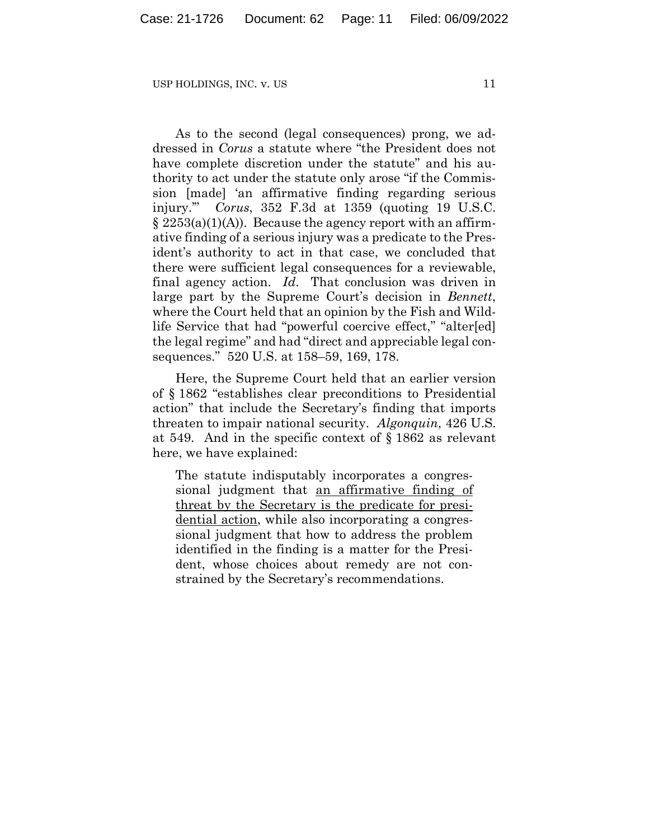As to the second (legal consequences) prong, we addressed in *Corus* a statute where "the President does not have complete discretion under the statute" and his authority to act under the statute only arose "if the Commission [made] 'an affirmative finding regarding serious injury.'" *Corus*, 352 F.3d at 1359 (quoting 19 U.S.C. § 2253(a)(1)(A)). Because the agency report with an affirmative finding of a serious injury was a predicate to the President's authority to act in that case, we concluded that there were sufficient legal consequences for a reviewable, final agency action. *Id*. That conclusion was driven in large part by the Supreme Court's decision in *Bennett*, where the Court held that an opinion by the Fish and Wildlife Service that had "powerful coercive effect," "alter[ed] the legal regime" and had "direct and appreciable legal consequences." 520 U.S. at 158–59, 169, 178.

Here, the Supreme Court held that an earlier version of § 1862 "establishes clear preconditions to Presidential action" that include the Secretary's finding that imports threaten to impair national security. *Algonquin*, 426 U.S. at 549. And in the specific context of § 1862 as relevant here, we have explained:

The statute indisputably incorporates a congressional judgment that an affirmative finding of threat by the Secretary is the predicate for presidential action, while also incorporating a congressional judgment that how to address the problem identified in the finding is a matter for the President, whose choices about remedy are not constrained by the Secretary's recommendations.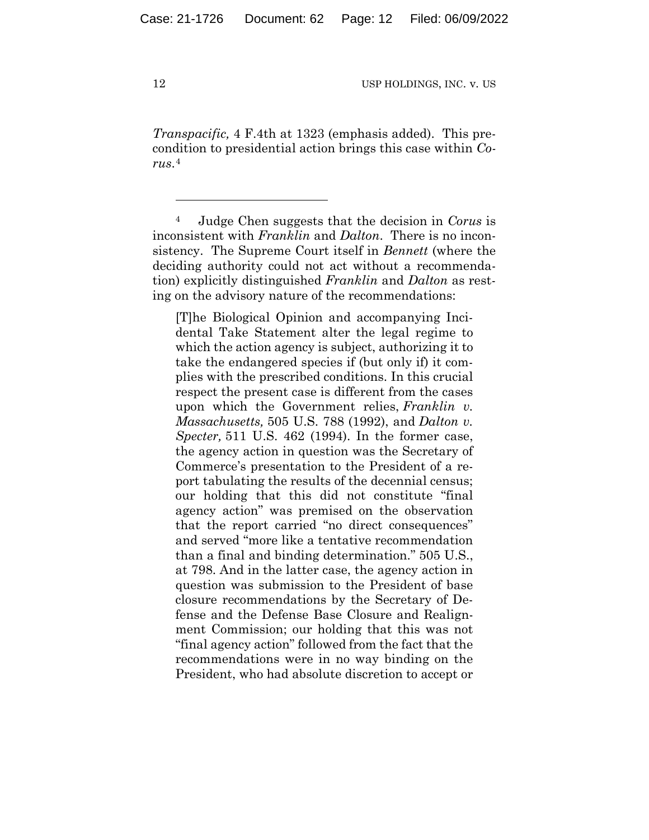*Transpacific,* 4 F.4th at 1323 (emphasis added). This precondition to presidential action brings this case within *Corus*.4

4 Judge Chen suggests that the decision in *Corus* is inconsistent with *Franklin* and *Dalton*. There is no inconsistency. The Supreme Court itself in *Bennett* (where the deciding authority could not act without a recommendation) explicitly distinguished *Franklin* and *Dalton* as resting on the advisory nature of the recommendations:

[T]he Biological Opinion and accompanying Incidental Take Statement alter the legal regime to which the action agency is subject, authorizing it to take the endangered species if (but only if) it complies with the prescribed conditions. In this crucial respect the present case is different from the cases upon which the Government relies, *Franklin v. Massachusetts,* 505 U.S. 788 (1992), and *Dalton v. Specter,* 511 U.S. 462 (1994). In the former case, the agency action in question was the Secretary of Commerce's presentation to the President of a report tabulating the results of the decennial census; our holding that this did not constitute "final agency action" was premised on the observation that the report carried "no direct consequences" and served "more like a tentative recommendation than a final and binding determination." 505 U.S., at 798. And in the latter case, the agency action in question was submission to the President of base closure recommendations by the Secretary of Defense and the Defense Base Closure and Realignment Commission; our holding that this was not "final agency action" followed from the fact that the recommendations were in no way binding on the President, who had absolute discretion to accept or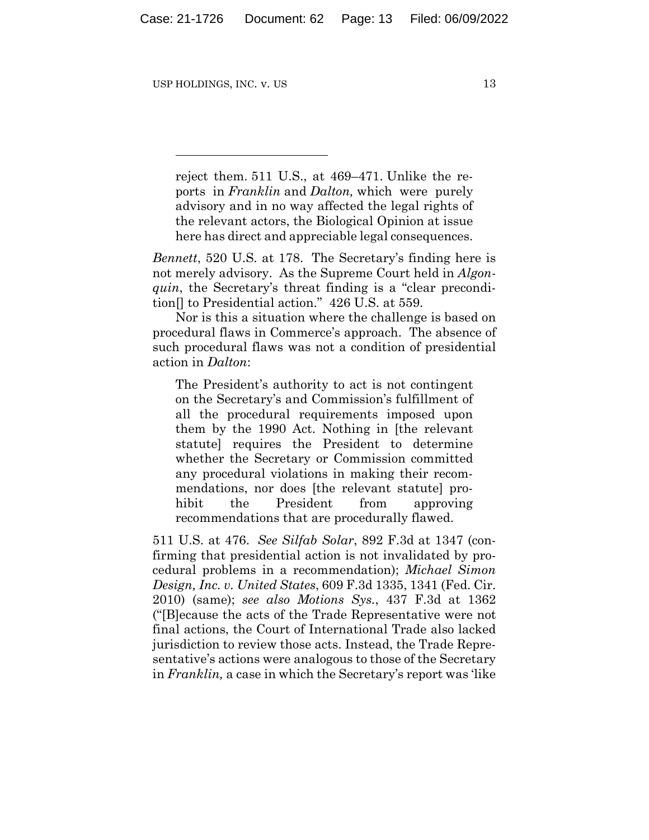reject them. 511 U.S., at 469–471. Unlike the reports in *Franklin* and *Dalton,* which were purely advisory and in no way affected the legal rights of the relevant actors, the Biological Opinion at issue here has direct and appreciable legal consequences.

*Bennett*, 520 U.S. at 178. The Secretary's finding here is not merely advisory. As the Supreme Court held in *Algonquin*, the Secretary's threat finding is a "clear precondition[] to Presidential action." 426 U.S. at 559.

Nor is this a situation where the challenge is based on procedural flaws in Commerce's approach. The absence of such procedural flaws was not a condition of presidential action in *Dalton*:

The President's authority to act is not contingent on the Secretary's and Commission's fulfillment of all the procedural requirements imposed upon them by the 1990 Act. Nothing in [the relevant statute] requires the President to determine whether the Secretary or Commission committed any procedural violations in making their recommendations, nor does [the relevant statute] prohibit the President from approving recommendations that are procedurally flawed.

511 U.S. at 476. *See Silfab Solar*, 892 F.3d at 1347 (confirming that presidential action is not invalidated by procedural problems in a recommendation); *Michael Simon Design, Inc. v. United States*, 609 F.3d 1335, 1341 (Fed. Cir. 2010) (same); *see also Motions Sys.*, 437 F.3d at 1362 ("[B]ecause the acts of the Trade Representative were not final actions, the Court of International Trade also lacked jurisdiction to review those acts. Instead, the Trade Representative's actions were analogous to those of the Secretary in *Franklin,* a case in which the Secretary's report was 'like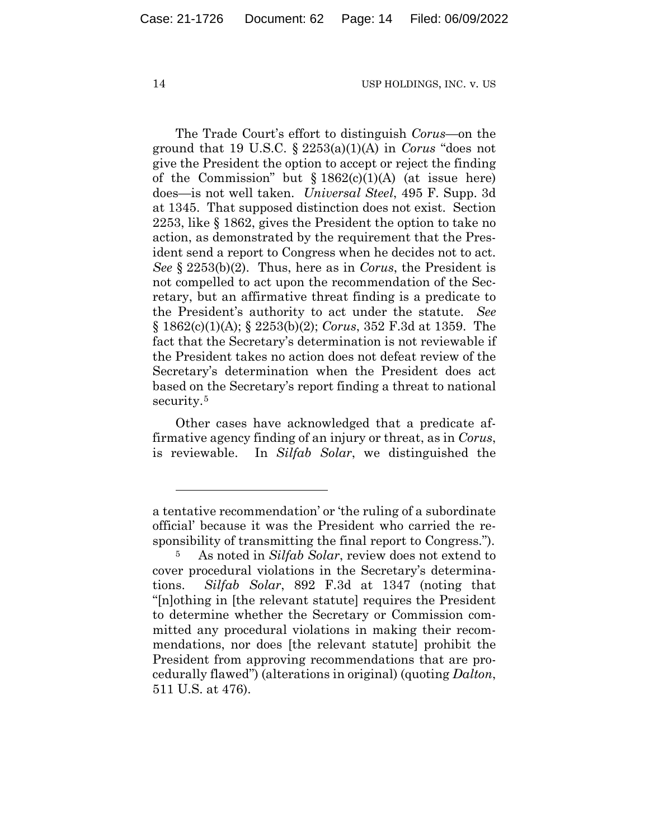The Trade Court's effort to distinguish *Corus*—on the ground that 19 U.S.C. § 2253(a)(1)(A) in *Corus* "does not give the President the option to accept or reject the finding of the Commission" but  $\S 1862(c)(1)(A)$  (at issue here) does—is not well taken. *Universal Steel*, 495 F. Supp. 3d at 1345. That supposed distinction does not exist. Section 2253, like § 1862, gives the President the option to take no action, as demonstrated by the requirement that the President send a report to Congress when he decides not to act. *See* § 2253(b)(2). Thus, here as in *Corus*, the President is not compelled to act upon the recommendation of the Secretary, but an affirmative threat finding is a predicate to the President's authority to act under the statute. *See* § 1862(c)(1)(A); § 2253(b)(2); *Corus*, 352 F.3d at 1359. The fact that the Secretary's determination is not reviewable if the President takes no action does not defeat review of the Secretary's determination when the President does act based on the Secretary's report finding a threat to national security.<sup>5</sup>

Other cases have acknowledged that a predicate affirmative agency finding of an injury or threat, as in *Corus*, is reviewable. In *Silfab Solar*, we distinguished the

a tentative recommendation' or 'the ruling of a subordinate official' because it was the President who carried the responsibility of transmitting the final report to Congress.").

<sup>5</sup> As noted in *Silfab Solar*, review does not extend to cover procedural violations in the Secretary's determinations. *Silfab Solar*, 892 F.3d at 1347 (noting that "[n]othing in [the relevant statute] requires the President to determine whether the Secretary or Commission committed any procedural violations in making their recommendations, nor does [the relevant statute] prohibit the President from approving recommendations that are procedurally flawed'') (alterations in original) (quoting *Dalton*, 511 U.S. at 476).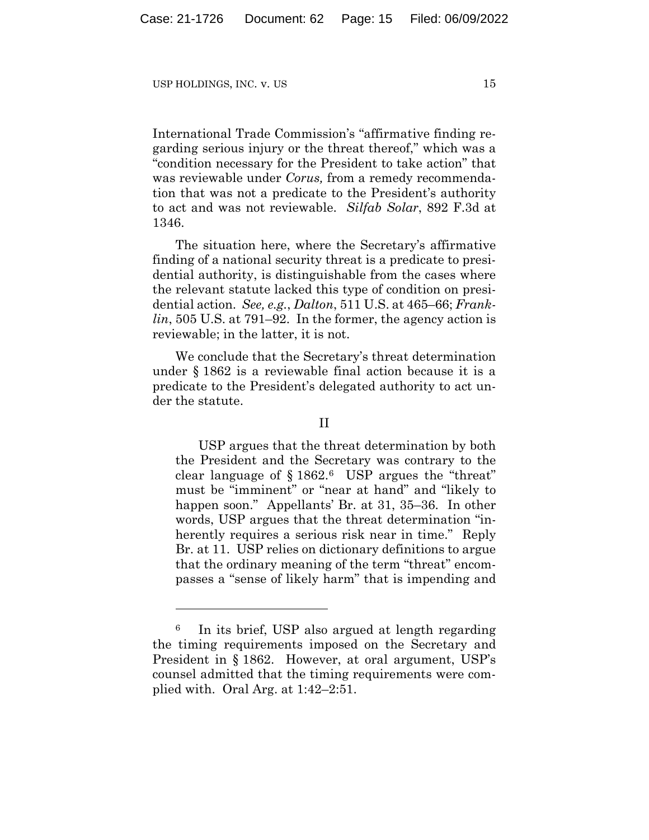International Trade Commission's "affirmative finding regarding serious injury or the threat thereof," which was a "condition necessary for the President to take action" that was reviewable under *Corus,* from a remedy recommendation that was not a predicate to the President's authority to act and was not reviewable. *Silfab Solar*, 892 F.3d at 1346.

The situation here, where the Secretary's affirmative finding of a national security threat is a predicate to presidential authority, is distinguishable from the cases where the relevant statute lacked this type of condition on presidential action. *See, e.g.*, *Dalton*, 511 U.S. at 465–66; *Franklin*, 505 U.S. at 791–92. In the former, the agency action is reviewable; in the latter, it is not.

We conclude that the Secretary's threat determination under § 1862 is a reviewable final action because it is a predicate to the President's delegated authority to act under the statute.

#### II

USP argues that the threat determination by both the President and the Secretary was contrary to the clear language of  $\S 1862.6$  USP argues the "threat" must be "imminent" or "near at hand" and "likely to happen soon." Appellants' Br. at 31, 35–36. In other words, USP argues that the threat determination "inherently requires a serious risk near in time." Reply Br. at 11. USP relies on dictionary definitions to argue that the ordinary meaning of the term "threat" encompasses a "sense of likely harm" that is impending and

<sup>6</sup> In its brief, USP also argued at length regarding the timing requirements imposed on the Secretary and President in § 1862. However, at oral argument, USP's counsel admitted that the timing requirements were complied with. Oral Arg. at 1:42–2:51.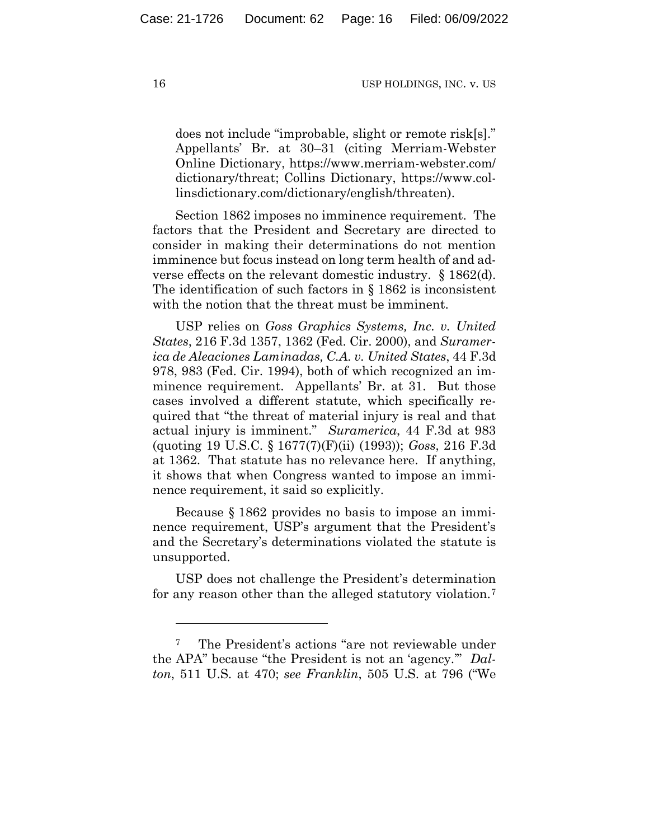does not include "improbable, slight or remote risk[s]." Appellants' Br. at 30–31 (citing Merriam-Webster Online Dictionary, https://www.merriam-webster.com/ dictionary/threat; Collins Dictionary, https://www.collinsdictionary.com/dictionary/english/threaten).

Section 1862 imposes no imminence requirement. The factors that the President and Secretary are directed to consider in making their determinations do not mention imminence but focus instead on long term health of and adverse effects on the relevant domestic industry. § 1862(d). The identification of such factors in § 1862 is inconsistent with the notion that the threat must be imminent.

USP relies on *Goss Graphics Systems, Inc. v. United States*, 216 F.3d 1357, 1362 (Fed. Cir. 2000), and *Suramerica de Aleaciones Laminadas, C.A. v. United States*, 44 F.3d 978, 983 (Fed. Cir. 1994), both of which recognized an imminence requirement. Appellants' Br. at 31. But those cases involved a different statute, which specifically required that "the threat of material injury is real and that actual injury is imminent." *Suramerica*, 44 F.3d at 983 (quoting 19 U.S.C. § 1677(7)(F)(ii) (1993)); *Goss*, 216 F.3d at 1362. That statute has no relevance here. If anything, it shows that when Congress wanted to impose an imminence requirement, it said so explicitly.

Because § 1862 provides no basis to impose an imminence requirement, USP's argument that the President's and the Secretary's determinations violated the statute is unsupported.

USP does not challenge the President's determination for any reason other than the alleged statutory violation.7

<sup>7</sup> The President's actions "are not reviewable under the APA" because "the President is not an 'agency.'" *Dalton*, 511 U.S. at 470; *see Franklin*, 505 U.S. at 796 ("We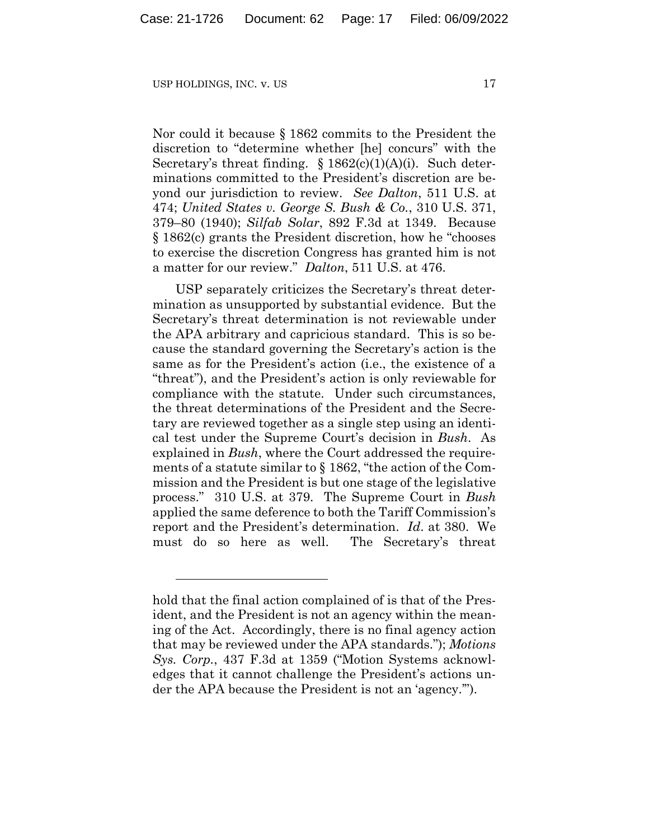Nor could it because § 1862 commits to the President the discretion to "determine whether [he] concurs" with the Secretary's threat finding.  $\S 1862(c)(1)(A)(i)$ . Such determinations committed to the President's discretion are beyond our jurisdiction to review. *See Dalton*, 511 U.S. at 474; *United States v. George S. Bush & Co.*, 310 U.S. 371, 379–80 (1940); *Silfab Solar*, 892 F.3d at 1349. Because § 1862(c) grants the President discretion, how he "chooses to exercise the discretion Congress has granted him is not a matter for our review." *Dalton*, 511 U.S. at 476.

USP separately criticizes the Secretary's threat determination as unsupported by substantial evidence. But the Secretary's threat determination is not reviewable under the APA arbitrary and capricious standard. This is so because the standard governing the Secretary's action is the same as for the President's action (i.e., the existence of a "threat"), and the President's action is only reviewable for compliance with the statute. Under such circumstances, the threat determinations of the President and the Secretary are reviewed together as a single step using an identical test under the Supreme Court's decision in *Bush*. As explained in *Bush*, where the Court addressed the requirements of a statute similar to § 1862, "the action of the Commission and the President is but one stage of the legislative process." 310 U.S. at 379. The Supreme Court in *Bush* applied the same deference to both the Tariff Commission's report and the President's determination. *Id*. at 380. We must do so here as well. The Secretary's threat

hold that the final action complained of is that of the President, and the President is not an agency within the meaning of the Act. Accordingly, there is no final agency action that may be reviewed under the APA standards."); *Motions Sys. Corp.*, 437 F.3d at 1359 ("Motion Systems acknowledges that it cannot challenge the President's actions under the APA because the President is not an 'agency.'").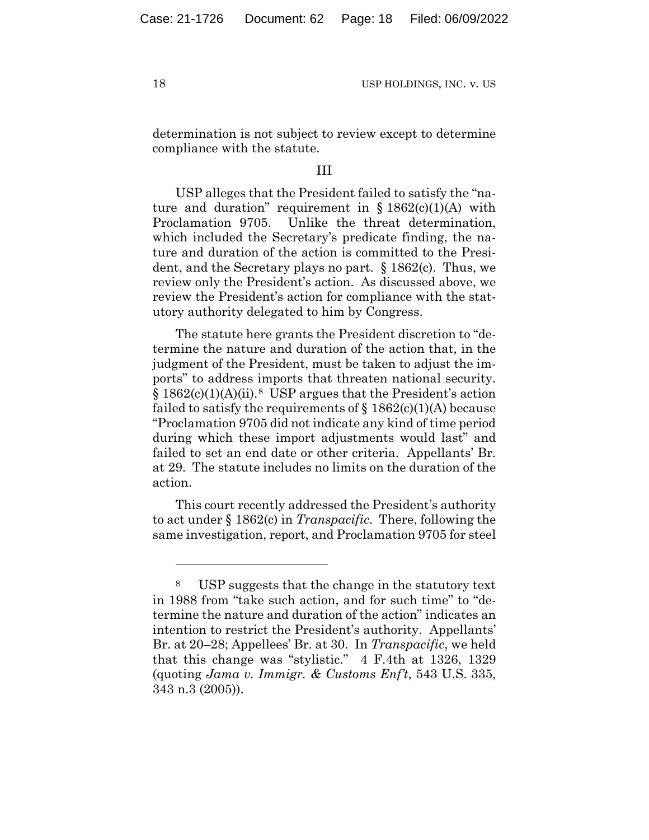determination is not subject to review except to determine compliance with the statute.

#### III

USP alleges that the President failed to satisfy the "nature and duration" requirement in  $\S 1862(c)(1)(A)$  with Proclamation 9705. Unlike the threat determination, which included the Secretary's predicate finding, the nature and duration of the action is committed to the President, and the Secretary plays no part. § 1862(c). Thus, we review only the President's action. As discussed above, we review the President's action for compliance with the statutory authority delegated to him by Congress.

The statute here grants the President discretion to "determine the nature and duration of the action that, in the judgment of the President, must be taken to adjust the imports" to address imports that threaten national security. § 1862(c)(1)(A)(ii).8 USP argues that the President's action failed to satisfy the requirements of  $\S 1862(c)(1)(A)$  because "Proclamation 9705 did not indicate any kind of time period during which these import adjustments would last" and failed to set an end date or other criteria. Appellants' Br. at 29. The statute includes no limits on the duration of the action.

This court recently addressed the President's authority to act under § 1862(c) in *Transpacific*. There, following the same investigation, report, and Proclamation 9705 for steel

<sup>8</sup> USP suggests that the change in the statutory text in 1988 from "take such action, and for such time" to "determine the nature and duration of the action" indicates an intention to restrict the President's authority. Appellants' Br. at 20–28; Appellees' Br. at 30. In *Transpacific*, we held that this change was "stylistic." 4 F.4th at 1326, 1329 (quoting *Jama v. Immigr. & Customs Enf't*, 543 U.S. 335, 343 n.3 (2005)).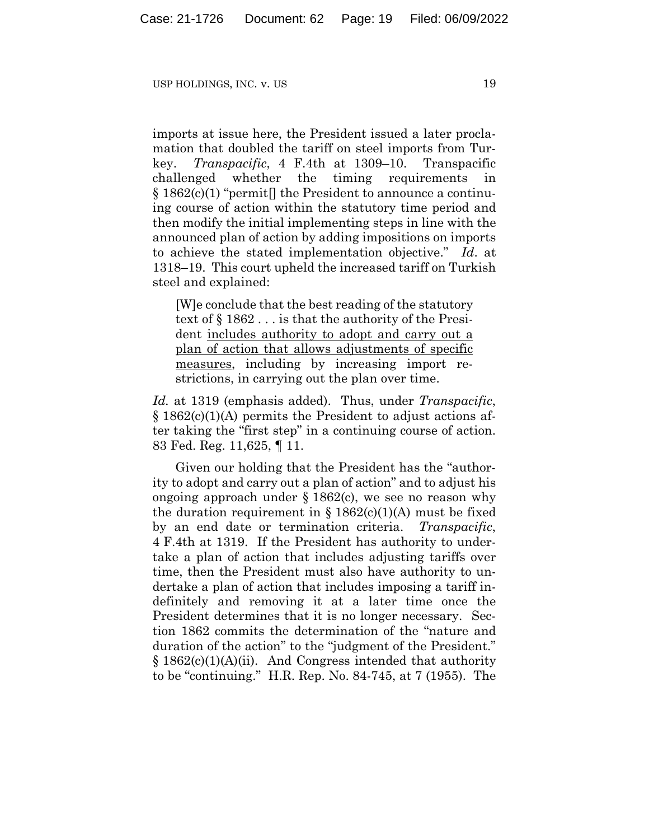imports at issue here, the President issued a later proclamation that doubled the tariff on steel imports from Turkey. *Transpacific*, 4 F.4th at 1309–10. Transpacific challenged whether the timing requirements in § 1862(c)(1) "permit[] the President to announce a continuing course of action within the statutory time period and then modify the initial implementing steps in line with the announced plan of action by adding impositions on imports to achieve the stated implementation objective." *Id*. at 1318–19. This court upheld the increased tariff on Turkish steel and explained:

[W]e conclude that the best reading of the statutory text of § 1862 . . . is that the authority of the President includes authority to adopt and carry out a plan of action that allows adjustments of specific measures, including by increasing import restrictions, in carrying out the plan over time.

*Id.* at 1319 (emphasis added). Thus, under *Transpacific*, § 1862(c)(1)(A) permits the President to adjust actions after taking the "first step" in a continuing course of action. 83 Fed. Reg. 11,625, ¶ 11.

Given our holding that the President has the "authority to adopt and carry out a plan of action" and to adjust his ongoing approach under  $\S 1862(c)$ , we see no reason why the duration requirement in  $\S 1862(c)(1)(A)$  must be fixed by an end date or termination criteria. *Transpacific*, 4 F.4th at 1319. If the President has authority to undertake a plan of action that includes adjusting tariffs over time, then the President must also have authority to undertake a plan of action that includes imposing a tariff indefinitely and removing it at a later time once the President determines that it is no longer necessary. Section 1862 commits the determination of the "nature and duration of the action" to the "judgment of the President."  $§ 1862(c)(1)(A)(ii)$ . And Congress intended that authority to be "continuing." H.R. Rep. No. 84-745, at 7 (1955). The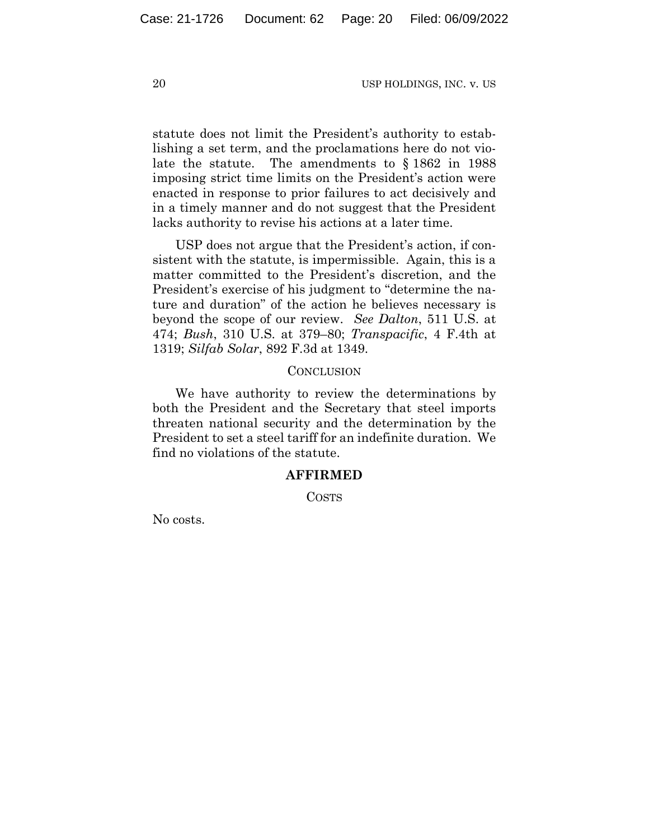statute does not limit the President's authority to establishing a set term, and the proclamations here do not violate the statute. The amendments to § 1862 in 1988 imposing strict time limits on the President's action were enacted in response to prior failures to act decisively and in a timely manner and do not suggest that the President lacks authority to revise his actions at a later time.

USP does not argue that the President's action, if consistent with the statute, is impermissible. Again, this is a matter committed to the President's discretion, and the President's exercise of his judgment to "determine the nature and duration" of the action he believes necessary is beyond the scope of our review. *See Dalton*, 511 U.S. at 474; *Bush*, 310 U.S. at 379–80; *Transpacific*, 4 F.4th at 1319; *Silfab Solar*, 892 F.3d at 1349.

#### **CONCLUSION**

We have authority to review the determinations by both the President and the Secretary that steel imports threaten national security and the determination by the President to set a steel tariff for an indefinite duration. We find no violations of the statute.

### **AFFIRMED**

COSTS

No costs.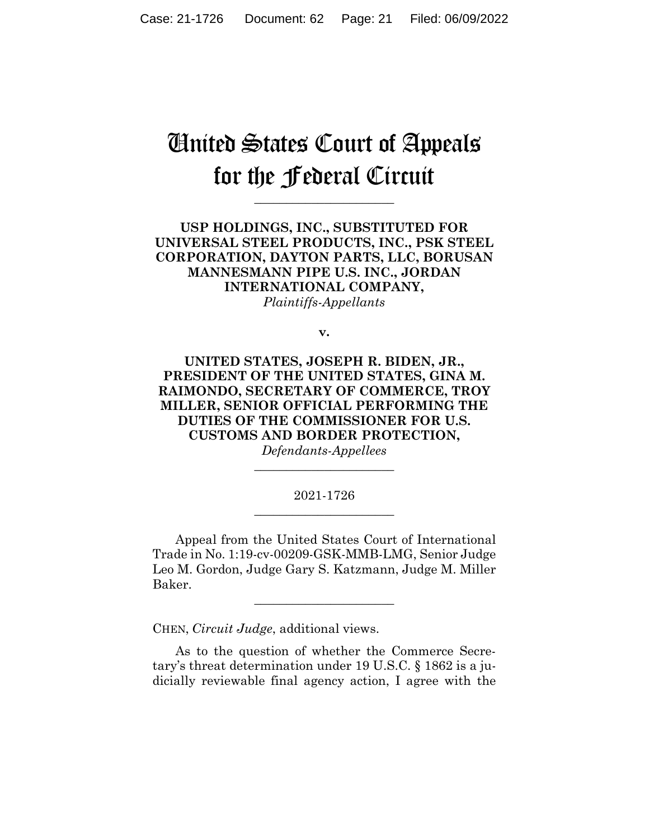# United States Court of Appeals for the Federal Circuit

**\_\_\_\_\_\_\_\_\_\_\_\_\_\_\_\_\_\_\_\_\_\_** 

**USP HOLDINGS, INC., SUBSTITUTED FOR UNIVERSAL STEEL PRODUCTS, INC., PSK STEEL CORPORATION, DAYTON PARTS, LLC, BORUSAN MANNESMANN PIPE U.S. INC., JORDAN INTERNATIONAL COMPANY,** *Plaintiffs-Appellants*

**v.**

## **UNITED STATES, JOSEPH R. BIDEN, JR., PRESIDENT OF THE UNITED STATES, GINA M. RAIMONDO, SECRETARY OF COMMERCE, TROY MILLER, SENIOR OFFICIAL PERFORMING THE DUTIES OF THE COMMISSIONER FOR U.S. CUSTOMS AND BORDER PROTECTION,**

*Defendants-Appellees* **\_\_\_\_\_\_\_\_\_\_\_\_\_\_\_\_\_\_\_\_\_\_** 

### 2021-1726 **\_\_\_\_\_\_\_\_\_\_\_\_\_\_\_\_\_\_\_\_\_\_**

Appeal from the United States Court of International Trade in No. 1:19-cv-00209-GSK-MMB-LMG, Senior Judge Leo M. Gordon, Judge Gary S. Katzmann, Judge M. Miller Baker.

\_\_\_\_\_\_\_\_\_\_\_\_\_\_\_\_\_\_\_\_\_\_

CHEN, *Circuit Judge*, additional views.

As to the question of whether the Commerce Secretary's threat determination under 19 U.S.C. § 1862 is a judicially reviewable final agency action, I agree with the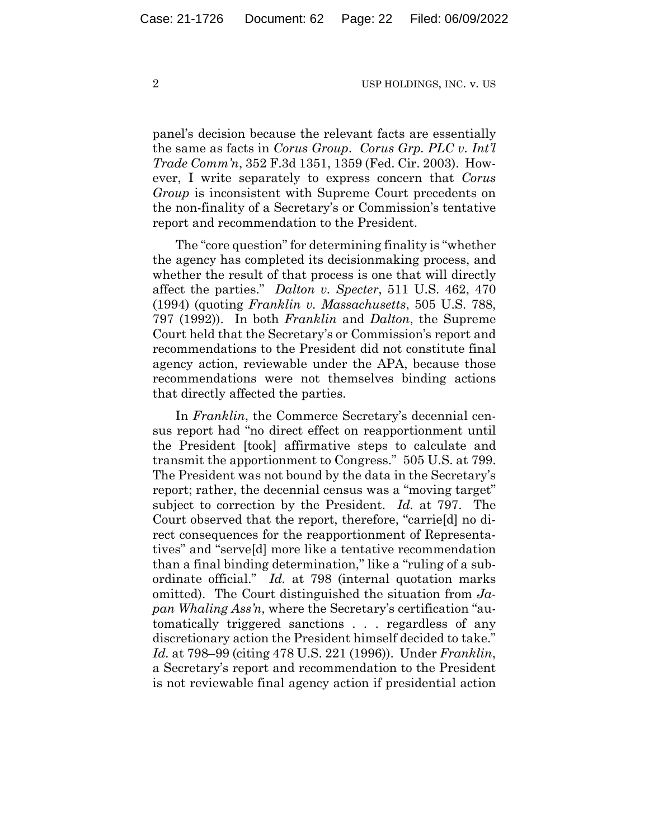panel's decision because the relevant facts are essentially the same as facts in *Corus Group*. *Corus Grp. PLC v. Int'l Trade Comm'n*, 352 F.3d 1351, 1359 (Fed. Cir. 2003). However, I write separately to express concern that *Corus Group* is inconsistent with Supreme Court precedents on the non-finality of a Secretary's or Commission's tentative report and recommendation to the President.

The "core question" for determining finality is "whether the agency has completed its decisionmaking process, and whether the result of that process is one that will directly affect the parties." *Dalton v. Specter*, 511 U.S. 462, 470 (1994) (quoting *Franklin v. Massachusetts*, 505 U.S. 788, 797 (1992)). In both *Franklin* and *Dalton*, the Supreme Court held that the Secretary's or Commission's report and recommendations to the President did not constitute final agency action, reviewable under the APA, because those recommendations were not themselves binding actions that directly affected the parties.

In *Franklin*, the Commerce Secretary's decennial census report had "no direct effect on reapportionment until the President [took] affirmative steps to calculate and transmit the apportionment to Congress." 505 U.S. at 799. The President was not bound by the data in the Secretary's report; rather, the decennial census was a "moving target" subject to correction by the President. *Id.* at 797. The Court observed that the report, therefore, "carrie[d] no direct consequences for the reapportionment of Representatives" and "serve[d] more like a tentative recommendation than a final binding determination," like a "ruling of a subordinate official." *Id.* at 798 (internal quotation marks omitted). The Court distinguished the situation from *Japan Whaling Ass'n*, where the Secretary's certification "automatically triggered sanctions . . . regardless of any discretionary action the President himself decided to take." *Id.* at 798–99 (citing 478 U.S. 221 (1996)). Under *Franklin*, a Secretary's report and recommendation to the President is not reviewable final agency action if presidential action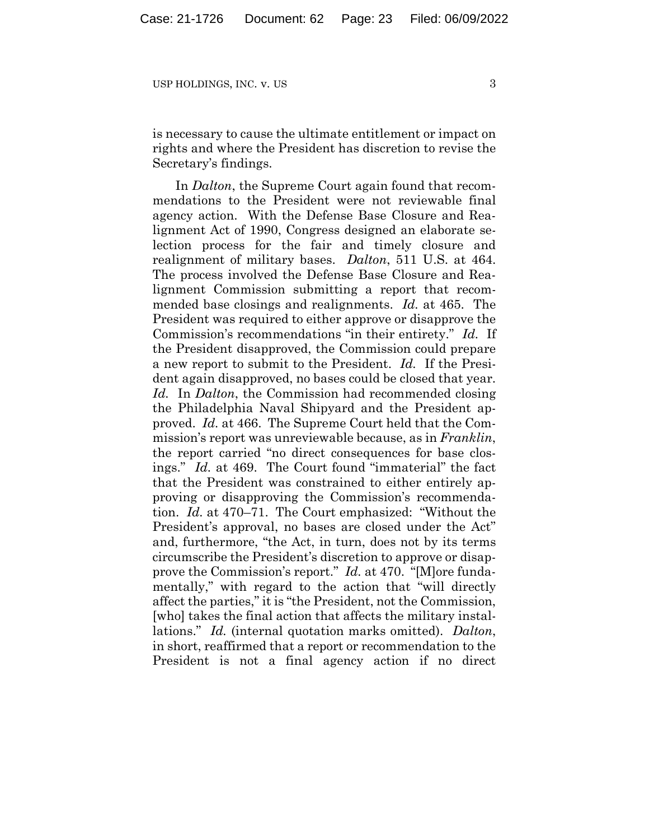is necessary to cause the ultimate entitlement or impact on rights and where the President has discretion to revise the Secretary's findings.

In *Dalton*, the Supreme Court again found that recommendations to the President were not reviewable final agency action. With the Defense Base Closure and Realignment Act of 1990, Congress designed an elaborate selection process for the fair and timely closure and realignment of military bases. *Dalton*, 511 U.S. at 464. The process involved the Defense Base Closure and Realignment Commission submitting a report that recommended base closings and realignments. *Id.* at 465. The President was required to either approve or disapprove the Commission's recommendations "in their entirety." *Id.* If the President disapproved, the Commission could prepare a new report to submit to the President. *Id.* If the President again disapproved, no bases could be closed that year. *Id.* In *Dalton*, the Commission had recommended closing the Philadelphia Naval Shipyard and the President approved. *Id.* at 466. The Supreme Court held that the Commission's report was unreviewable because, as in *Franklin*, the report carried "no direct consequences for base closings." *Id.* at 469. The Court found "immaterial" the fact that the President was constrained to either entirely approving or disapproving the Commission's recommendation. *Id.* at 470–71. The Court emphasized: "Without the President's approval, no bases are closed under the Act" and, furthermore, "the Act, in turn, does not by its terms circumscribe the President's discretion to approve or disapprove the Commission's report." *Id.* at 470. "[M]ore fundamentally," with regard to the action that "will directly affect the parties," it is "the President, not the Commission, [who] takes the final action that affects the military installations." *Id.* (internal quotation marks omitted). *Dalton*, in short, reaffirmed that a report or recommendation to the President is not a final agency action if no direct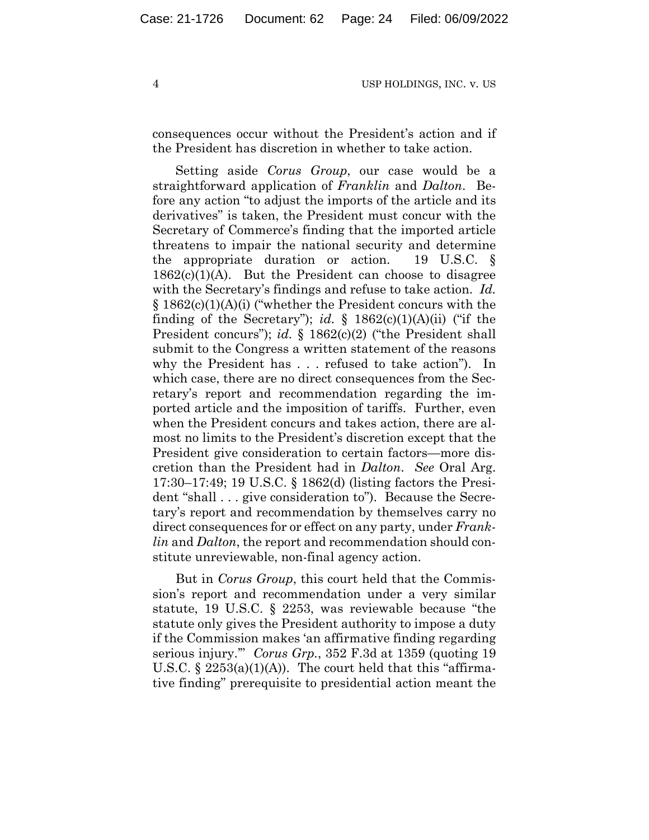consequences occur without the President's action and if the President has discretion in whether to take action.

Setting aside *Corus Group*, our case would be a straightforward application of *Franklin* and *Dalton*. Before any action "to adjust the imports of the article and its derivatives" is taken, the President must concur with the Secretary of Commerce's finding that the imported article threatens to impair the national security and determine the appropriate duration or action. 19 U.S.C. §  $1862(c)(1)(A)$ . But the President can choose to disagree with the Secretary's findings and refuse to take action. *Id.* § 1862(c)(1)(A)(i) ("whether the President concurs with the finding of the Secretary"); *id.*  $\S$  1862(c)(1)(A)(ii) ("if the President concurs"); *id.* § 1862(c)(2) ("the President shall submit to the Congress a written statement of the reasons why the President has . . . refused to take action"). In which case, there are no direct consequences from the Secretary's report and recommendation regarding the imported article and the imposition of tariffs. Further, even when the President concurs and takes action, there are almost no limits to the President's discretion except that the President give consideration to certain factors—more discretion than the President had in *Dalton*. *See* Oral Arg. 17:30–17:49; 19 U.S.C. § 1862(d) (listing factors the President "shall . . . give consideration to"). Because the Secretary's report and recommendation by themselves carry no direct consequences for or effect on any party, under *Franklin* and *Dalton*, the report and recommendation should constitute unreviewable, non-final agency action.

But in *Corus Group*, this court held that the Commission's report and recommendation under a very similar statute, 19 U.S.C. § 2253, was reviewable because "the statute only gives the President authority to impose a duty if the Commission makes 'an affirmative finding regarding serious injury.'" *Corus Grp.*, 352 F.3d at 1359 (quoting 19 U.S.C.  $\S 2253(a)(1)(A)$ . The court held that this "affirmative finding" prerequisite to presidential action meant the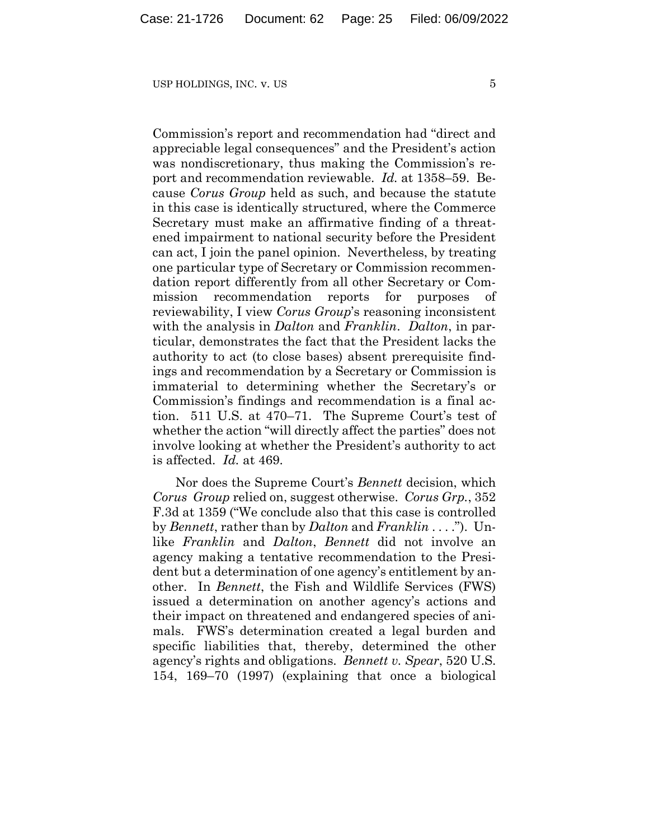Commission's report and recommendation had "direct and appreciable legal consequences" and the President's action was nondiscretionary, thus making the Commission's report and recommendation reviewable. *Id.* at 1358–59. Because *Corus Group* held as such, and because the statute in this case is identically structured, where the Commerce Secretary must make an affirmative finding of a threatened impairment to national security before the President can act, I join the panel opinion. Nevertheless, by treating one particular type of Secretary or Commission recommendation report differently from all other Secretary or Commission recommendation reports for purposes of reviewability, I view *Corus Group*'s reasoning inconsistent with the analysis in *Dalton* and *Franklin*. *Dalton*, in particular, demonstrates the fact that the President lacks the authority to act (to close bases) absent prerequisite findings and recommendation by a Secretary or Commission is immaterial to determining whether the Secretary's or Commission's findings and recommendation is a final action. 511 U.S. at 470–71. The Supreme Court's test of whether the action "will directly affect the parties" does not involve looking at whether the President's authority to act is affected. *Id.* at 469.

Nor does the Supreme Court's *Bennett* decision, which *Corus Group* relied on, suggest otherwise. *Corus Grp.*, 352 F.3d at 1359 ("We conclude also that this case is controlled by *Bennett*, rather than by *Dalton* and *Franklin* . . . ."). Unlike *Franklin* and *Dalton*, *Bennett* did not involve an agency making a tentative recommendation to the President but a determination of one agency's entitlement by another. In *Bennett*, the Fish and Wildlife Services (FWS) issued a determination on another agency's actions and their impact on threatened and endangered species of animals. FWS's determination created a legal burden and specific liabilities that, thereby, determined the other agency's rights and obligations. *Bennett v. Spear*, 520 U.S. 154, 169–70 (1997) (explaining that once a biological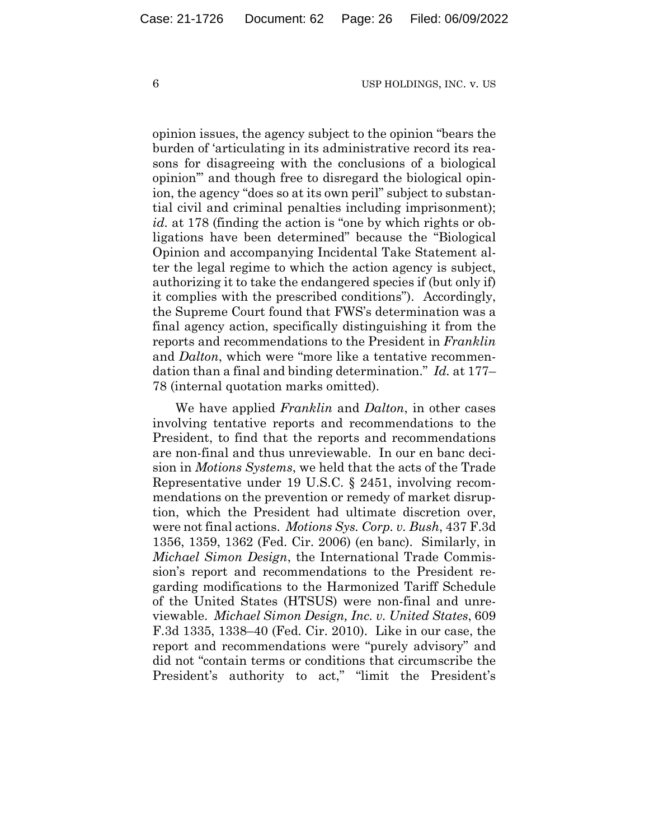opinion issues, the agency subject to the opinion "bears the burden of 'articulating in its administrative record its reasons for disagreeing with the conclusions of a biological opinion'" and though free to disregard the biological opinion, the agency "does so at its own peril" subject to substantial civil and criminal penalties including imprisonment); *id.* at 178 (finding the action is "one by which rights or obligations have been determined" because the "Biological Opinion and accompanying Incidental Take Statement alter the legal regime to which the action agency is subject, authorizing it to take the endangered species if (but only if) it complies with the prescribed conditions"). Accordingly, the Supreme Court found that FWS's determination was a final agency action, specifically distinguishing it from the reports and recommendations to the President in *Franklin* and *Dalton*, which were "more like a tentative recommendation than a final and binding determination." *Id.* at 177– 78 (internal quotation marks omitted).

We have applied *Franklin* and *Dalton*, in other cases involving tentative reports and recommendations to the President, to find that the reports and recommendations are non-final and thus unreviewable. In our en banc decision in *Motions Systems*, we held that the acts of the Trade Representative under 19 U.S.C. § 2451, involving recommendations on the prevention or remedy of market disruption, which the President had ultimate discretion over, were not final actions. *Motions Sys. Corp. v. Bush*, 437 F.3d 1356, 1359, 1362 (Fed. Cir. 2006) (en banc). Similarly, in *Michael Simon Design*, the International Trade Commission's report and recommendations to the President regarding modifications to the Harmonized Tariff Schedule of the United States (HTSUS) were non-final and unreviewable. *Michael Simon Design, Inc. v. United States*, 609 F.3d 1335, 1338–40 (Fed. Cir. 2010). Like in our case, the report and recommendations were "purely advisory" and did not "contain terms or conditions that circumscribe the President's authority to act," "limit the President's